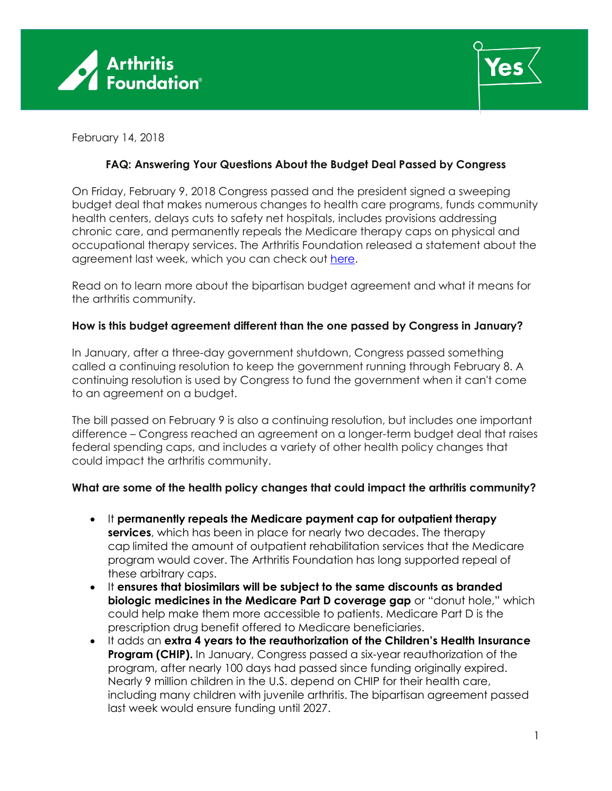



February 14, 2018

## **FAQ: Answering Your Questions About the Budget Deal Passed by Congress**

On Friday, February 9, 2018 Congress passed and the president signed a sweeping budget deal that makes numerous changes to health care programs, funds community health centers, delays cuts to safety net hospitals, includes provisions addressing chronic care, and permanently repeals the Medicare therapy caps on physical and occupational therapy services. The Arthritis Foundation released a statement about the agreement last week, which you can check out [here.](https://www.arthritis.org/Documents/Sections/Advocate/Regulatory-Letters/2018-Asset-Folder/AF-Statement-on-Feb-2018-Budget-Deal-FINAL.PDF)

Read on to learn more about the bipartisan budget agreement and what it means for the arthritis community.

## **How is this budget agreement different than the one passed by Congress in January?**

In January, after a three-day government shutdown, Congress passed something called a continuing resolution to keep the government running through February 8. A continuing resolution is used by Congress to fund the government when it can't come to an agreement on a budget.

The bill passed on February 9 is also a continuing resolution, but includes one important difference – Congress reached an agreement on a longer-term budget deal that raises federal spending caps, and includes a variety of other health policy changes that could impact the arthritis community.

## **What are some of the health policy changes that could impact the arthritis community?**

- It **permanently repeals the Medicare payment cap for outpatient therapy services**, which has been in place for nearly two decades. The therapy cap limited the amount of outpatient rehabilitation services that the Medicare program would cover. The Arthritis Foundation has long supported repeal of these arbitrary caps.
- It **ensures that biosimilars will be subject to the same discounts as branded biologic medicines in the Medicare Part D coverage gap** or "donut hole," which could help make them more accessible to patients. Medicare Part D is the prescription drug benefit offered to Medicare beneficiaries.
- It adds an **extra 4 years to the reauthorization of the Children's Health Insurance Program (CHIP).** In January, Congress passed a six-year reauthorization of the program, after nearly 100 days had passed since funding originally expired. Nearly 9 million children in the U.S. depend on CHIP for their health care, including many children with juvenile arthritis. The bipartisan agreement passed last week would ensure funding until 2027.